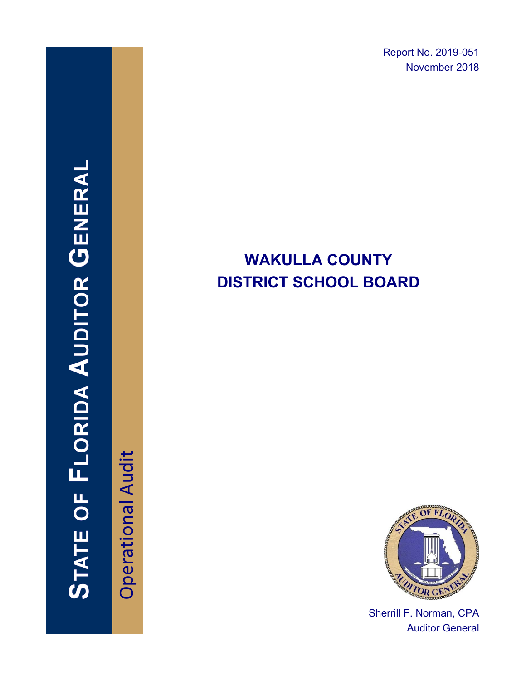Report No. 2019-051 November 2018

# **WAKULLA COUNTY DISTRICT SCHOOL BOARD**



Sherrill F. Norman, CPA Auditor General

# **STATE OF FLORIDA AUDITOR GENERAI**

Operational Audit **Operational Audit**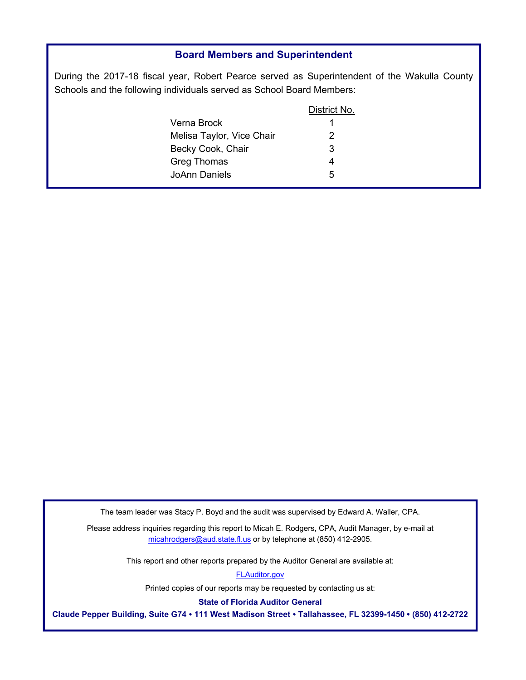### **Board Members and Superintendent**

During the 2017-18 fiscal year, Robert Pearce served as Superintendent of the Wakulla County Schools and the following individuals served as School Board Members:

|                           | District No. |
|---------------------------|--------------|
| Verna Brock.              |              |
| Melisa Taylor, Vice Chair | 2            |
| Becky Cook, Chair         | 3            |
| <b>Greg Thomas</b>        |              |
| JoAnn Daniels.            | 5            |
|                           |              |

The team leader was Stacy P. Boyd and the audit was supervised by Edward A. Waller, CPA.

Please address inquiries regarding this report to Micah E. Rodgers, CPA, Audit Manager, by e-mail at micahrodgers@aud.state.fl.us or by telephone at (850) 412-2905.

This report and other reports prepared by the Auditor General are available at:

FLAuditor.gov

Printed copies of our rep[orts may be reque](https://flauditor.gov)sted by contacting us at:

**State of Florida Auditor General** 

**Claude Pepper Building, Suite G74** ∙ **111 West Madison Street** ∙ **Tallahassee, FL 32399-1450** ∙ (**850) 412-2722**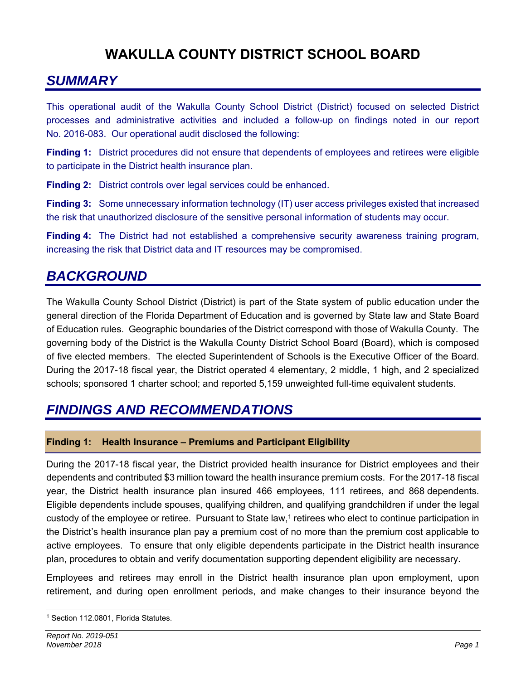# **WAKULLA COUNTY DISTRICT SCHOOL BOARD**

# *SUMMARY*

This operational audit of the Wakulla County School District (District) focused on selected District processes and administrative activities and included a follow-up on findings noted in our report No. 2016-083. Our operational audit disclosed the following:

**Finding 1:** District procedures did not ensure that dependents of employees and retirees were eligible to participate in the District health insurance plan.

**Finding 2:** District controls over legal services could be enhanced.

**Finding 3:** Some unnecessary information technology (IT) user access privileges existed that increased the risk that unauthorized disclosure of the sensitive personal information of students may occur.

**Finding 4:** The District had not established a comprehensive security awareness training program, increasing the risk that District data and IT resources may be compromised.

# *BACKGROUND*

The Wakulla County School District (District) is part of the State system of public education under the general direction of the Florida Department of Education and is governed by State law and State Board of Education rules. Geographic boundaries of the District correspond with those of Wakulla County. The governing body of the District is the Wakulla County District School Board (Board), which is composed of five elected members. The elected Superintendent of Schools is the Executive Officer of the Board. During the 2017-18 fiscal year, the District operated 4 elementary, 2 middle, 1 high, and 2 specialized schools; sponsored 1 charter school; and reported 5,159 unweighted full-time equivalent students.

## *FINDINGS AND RECOMMENDATIONS*

### **Finding 1: Health Insurance – Premiums and Participant Eligibility**

During the 2017-18 fiscal year, the District provided health insurance for District employees and their dependents and contributed \$3 million toward the health insurance premium costs. For the 2017-18 fiscal year, the District health insurance plan insured 466 employees, 111 retirees, and 868 dependents. Eligible dependents include spouses, qualifying children, and qualifying grandchildren if under the legal custody of the employee or retiree. Pursuant to State law,<sup>1</sup> retirees who elect to continue participation in the District's health insurance plan pay a premium cost of no more than the premium cost applicable to active employees. To ensure that only eligible dependents participate in the District health insurance plan, procedures to obtain and verify documentation supporting dependent eligibility are necessary.

Employees and retirees may enroll in the District health insurance plan upon employment, upon retirement, and during open enrollment periods, and make changes to their insurance beyond the

 <sup>1</sup> Section 112.0801, Florida Statutes.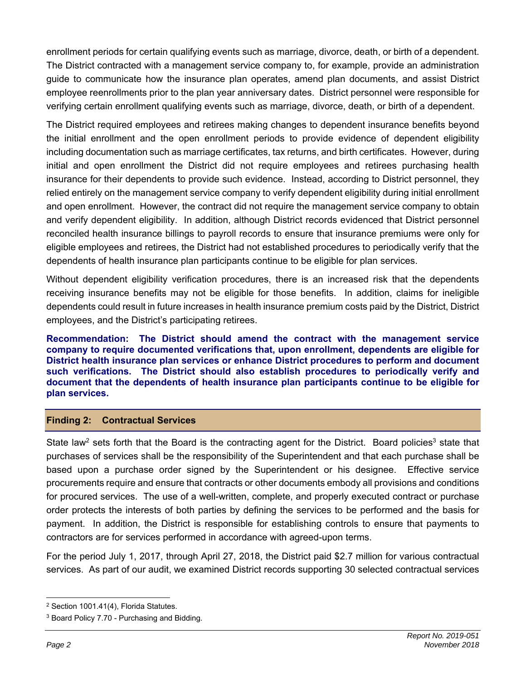enrollment periods for certain qualifying events such as marriage, divorce, death, or birth of a dependent. The District contracted with a management service company to, for example, provide an administration guide to communicate how the insurance plan operates, amend plan documents, and assist District employee reenrollments prior to the plan year anniversary dates. District personnel were responsible for verifying certain enrollment qualifying events such as marriage, divorce, death, or birth of a dependent.

The District required employees and retirees making changes to dependent insurance benefits beyond the initial enrollment and the open enrollment periods to provide evidence of dependent eligibility including documentation such as marriage certificates, tax returns, and birth certificates. However, during initial and open enrollment the District did not require employees and retirees purchasing health insurance for their dependents to provide such evidence. Instead, according to District personnel, they relied entirely on the management service company to verify dependent eligibility during initial enrollment and open enrollment. However, the contract did not require the management service company to obtain and verify dependent eligibility. In addition, although District records evidenced that District personnel reconciled health insurance billings to payroll records to ensure that insurance premiums were only for eligible employees and retirees, the District had not established procedures to periodically verify that the dependents of health insurance plan participants continue to be eligible for plan services.

Without dependent eligibility verification procedures, there is an increased risk that the dependents receiving insurance benefits may not be eligible for those benefits. In addition, claims for ineligible dependents could result in future increases in health insurance premium costs paid by the District, District employees, and the District's participating retirees.

**Recommendation: The District should amend the contract with the management service company to require documented verifications that, upon enrollment, dependents are eligible for District health insurance plan services or enhance District procedures to perform and document such verifications. The District should also establish procedures to periodically verify and document that the dependents of health insurance plan participants continue to be eligible for plan services.** 

### **Finding 2: Contractual Services**

State law<sup>2</sup> sets forth that the Board is the contracting agent for the District. Board policies<sup>3</sup> state that purchases of services shall be the responsibility of the Superintendent and that each purchase shall be based upon a purchase order signed by the Superintendent or his designee. Effective service procurements require and ensure that contracts or other documents embody all provisions and conditions for procured services. The use of a well-written, complete, and properly executed contract or purchase order protects the interests of both parties by defining the services to be performed and the basis for payment. In addition, the District is responsible for establishing controls to ensure that payments to contractors are for services performed in accordance with agreed-upon terms.

For the period July 1, 2017, through April 27, 2018, the District paid \$2.7 million for various contractual services. As part of our audit, we examined District records supporting 30 selected contractual services

 2 Section 1001.41(4), Florida Statutes.

<sup>3</sup> Board Policy 7.70 - Purchasing and Bidding.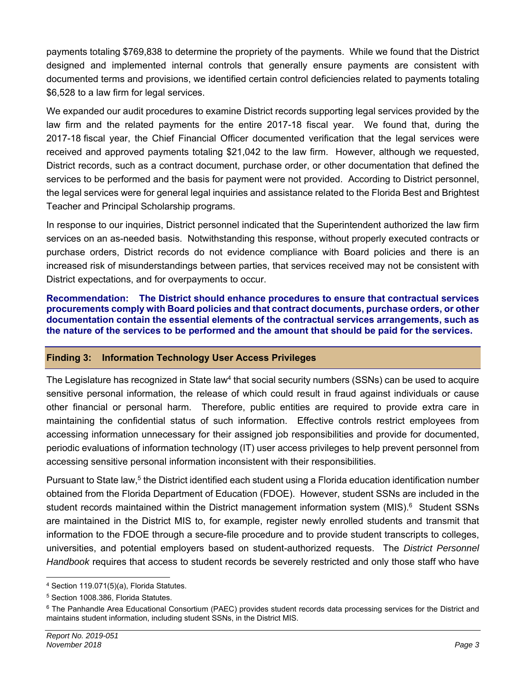payments totaling \$769,838 to determine the propriety of the payments. While we found that the District designed and implemented internal controls that generally ensure payments are consistent with documented terms and provisions, we identified certain control deficiencies related to payments totaling \$6,528 to a law firm for legal services.

We expanded our audit procedures to examine District records supporting legal services provided by the law firm and the related payments for the entire 2017-18 fiscal year. We found that, during the 2017-18 fiscal year, the Chief Financial Officer documented verification that the legal services were received and approved payments totaling \$21,042 to the law firm. However, although we requested, District records, such as a contract document, purchase order, or other documentation that defined the services to be performed and the basis for payment were not provided. According to District personnel, the legal services were for general legal inquiries and assistance related to the Florida Best and Brightest Teacher and Principal Scholarship programs.

In response to our inquiries, District personnel indicated that the Superintendent authorized the law firm services on an as-needed basis. Notwithstanding this response, without properly executed contracts or purchase orders, District records do not evidence compliance with Board policies and there is an increased risk of misunderstandings between parties, that services received may not be consistent with District expectations, and for overpayments to occur.

**Recommendation: The District should enhance procedures to ensure that contractual services procurements comply with Board policies and that contract documents, purchase orders, or other documentation contain the essential elements of the contractual services arrangements, such as the nature of the services to be performed and the amount that should be paid for the services.** 

### **Finding 3: Information Technology User Access Privileges**

The Legislature has recognized in State law<sup>4</sup> that social security numbers (SSNs) can be used to acquire sensitive personal information, the release of which could result in fraud against individuals or cause other financial or personal harm. Therefore, public entities are required to provide extra care in maintaining the confidential status of such information. Effective controls restrict employees from accessing information unnecessary for their assigned job responsibilities and provide for documented, periodic evaluations of information technology (IT) user access privileges to help prevent personnel from accessing sensitive personal information inconsistent with their responsibilities.

Pursuant to State law,<sup>5</sup> the District identified each student using a Florida education identification number obtained from the Florida Department of Education (FDOE). However, student SSNs are included in the student records maintained within the District management information system (MIS).<sup>6</sup> Student SSNs are maintained in the District MIS to, for example, register newly enrolled students and transmit that information to the FDOE through a secure-file procedure and to provide student transcripts to colleges, universities, and potential employers based on student-authorized requests. The *District Personnel Handbook* requires that access to student records be severely restricted and only those staff who have

 4 Section 119.071(5)(a), Florida Statutes.

<sup>5</sup> Section 1008.386, Florida Statutes.

<sup>&</sup>lt;sup>6</sup> The Panhandle Area Educational Consortium (PAEC) provides student records data processing services for the District and maintains student information, including student SSNs, in the District MIS.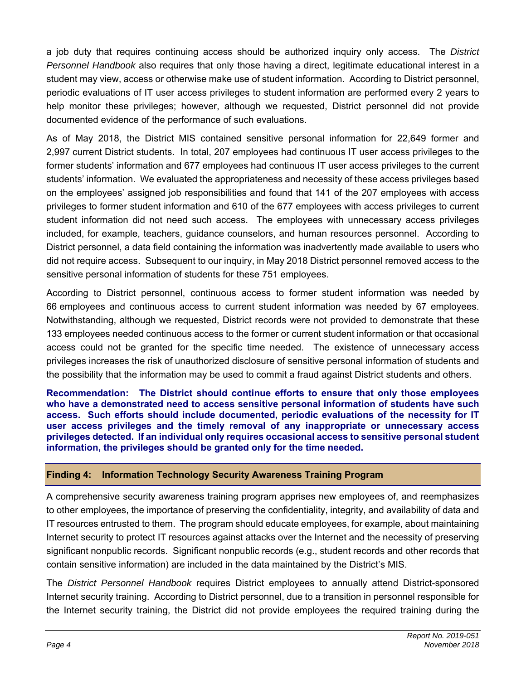a job duty that requires continuing access should be authorized inquiry only access. The *District Personnel Handbook* also requires that only those having a direct, legitimate educational interest in a student may view, access or otherwise make use of student information. According to District personnel, periodic evaluations of IT user access privileges to student information are performed every 2 years to help monitor these privileges; however, although we requested, District personnel did not provide documented evidence of the performance of such evaluations.

As of May 2018, the District MIS contained sensitive personal information for 22,649 former and 2,997 current District students. In total, 207 employees had continuous IT user access privileges to the former students' information and 677 employees had continuous IT user access privileges to the current students' information. We evaluated the appropriateness and necessity of these access privileges based on the employees' assigned job responsibilities and found that 141 of the 207 employees with access privileges to former student information and 610 of the 677 employees with access privileges to current student information did not need such access. The employees with unnecessary access privileges included, for example, teachers, guidance counselors, and human resources personnel. According to District personnel, a data field containing the information was inadvertently made available to users who did not require access. Subsequent to our inquiry, in May 2018 District personnel removed access to the sensitive personal information of students for these 751 employees.

According to District personnel, continuous access to former student information was needed by 66 employees and continuous access to current student information was needed by 67 employees. Notwithstanding, although we requested, District records were not provided to demonstrate that these 133 employees needed continuous access to the former or current student information or that occasional access could not be granted for the specific time needed. The existence of unnecessary access privileges increases the risk of unauthorized disclosure of sensitive personal information of students and the possibility that the information may be used to commit a fraud against District students and others.

**Recommendation: The District should continue efforts to ensure that only those employees who have a demonstrated need to access sensitive personal information of students have such access. Such efforts should include documented, periodic evaluations of the necessity for IT user access privileges and the timely removal of any inappropriate or unnecessary access privileges detected. If an individual only requires occasional access to sensitive personal student information, the privileges should be granted only for the time needed.** 

### **Finding 4: Information Technology Security Awareness Training Program**

A comprehensive security awareness training program apprises new employees of, and reemphasizes to other employees, the importance of preserving the confidentiality, integrity, and availability of data and IT resources entrusted to them. The program should educate employees, for example, about maintaining Internet security to protect IT resources against attacks over the Internet and the necessity of preserving significant nonpublic records. Significant nonpublic records (e.g., student records and other records that contain sensitive information) are included in the data maintained by the District's MIS.

The *District Personnel Handbook* requires District employees to annually attend District-sponsored Internet security training. According to District personnel, due to a transition in personnel responsible for the Internet security training, the District did not provide employees the required training during the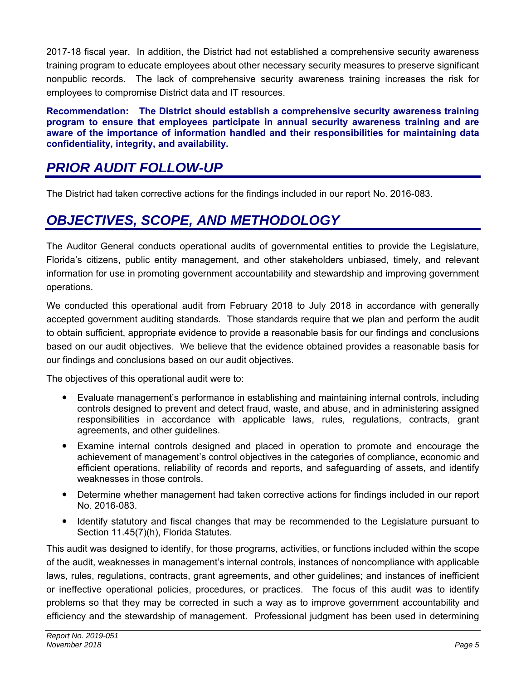2017-18 fiscal year. In addition, the District had not established a comprehensive security awareness training program to educate employees about other necessary security measures to preserve significant nonpublic records. The lack of comprehensive security awareness training increases the risk for employees to compromise District data and IT resources.

**Recommendation: The District should establish a comprehensive security awareness training program to ensure that employees participate in annual security awareness training and are aware of the importance of information handled and their responsibilities for maintaining data confidentiality, integrity, and availability.** 

# *PRIOR AUDIT FOLLOW-UP*

The District had taken corrective actions for the findings included in our report No. 2016-083.

# *OBJECTIVES, SCOPE, AND METHODOLOGY*

The Auditor General conducts operational audits of governmental entities to provide the Legislature, Florida's citizens, public entity management, and other stakeholders unbiased, timely, and relevant information for use in promoting government accountability and stewardship and improving government operations.

We conducted this operational audit from February 2018 to July 2018 in accordance with generally accepted government auditing standards. Those standards require that we plan and perform the audit to obtain sufficient, appropriate evidence to provide a reasonable basis for our findings and conclusions based on our audit objectives. We believe that the evidence obtained provides a reasonable basis for our findings and conclusions based on our audit objectives.

The objectives of this operational audit were to:

- Evaluate management's performance in establishing and maintaining internal controls, including controls designed to prevent and detect fraud, waste, and abuse, and in administering assigned responsibilities in accordance with applicable laws, rules, regulations, contracts, grant agreements, and other guidelines.
- Examine internal controls designed and placed in operation to promote and encourage the achievement of management's control objectives in the categories of compliance, economic and efficient operations, reliability of records and reports, and safeguarding of assets, and identify weaknesses in those controls.
- Determine whether management had taken corrective actions for findings included in our report No. 2016-083.
- Identify statutory and fiscal changes that may be recommended to the Legislature pursuant to Section 11.45(7)(h), Florida Statutes.

This audit was designed to identify, for those programs, activities, or functions included within the scope of the audit, weaknesses in management's internal controls, instances of noncompliance with applicable laws, rules, regulations, contracts, grant agreements, and other guidelines; and instances of inefficient or ineffective operational policies, procedures, or practices. The focus of this audit was to identify problems so that they may be corrected in such a way as to improve government accountability and efficiency and the stewardship of management. Professional judgment has been used in determining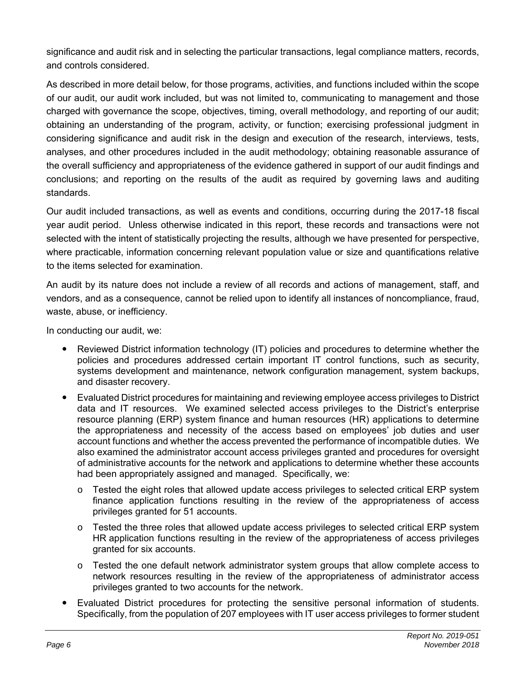significance and audit risk and in selecting the particular transactions, legal compliance matters, records, and controls considered.

As described in more detail below, for those programs, activities, and functions included within the scope of our audit, our audit work included, but was not limited to, communicating to management and those charged with governance the scope, objectives, timing, overall methodology, and reporting of our audit; obtaining an understanding of the program, activity, or function; exercising professional judgment in considering significance and audit risk in the design and execution of the research, interviews, tests, analyses, and other procedures included in the audit methodology; obtaining reasonable assurance of the overall sufficiency and appropriateness of the evidence gathered in support of our audit findings and conclusions; and reporting on the results of the audit as required by governing laws and auditing standards.

Our audit included transactions, as well as events and conditions, occurring during the 2017-18 fiscal year audit period. Unless otherwise indicated in this report, these records and transactions were not selected with the intent of statistically projecting the results, although we have presented for perspective, where practicable, information concerning relevant population value or size and quantifications relative to the items selected for examination.

An audit by its nature does not include a review of all records and actions of management, staff, and vendors, and as a consequence, cannot be relied upon to identify all instances of noncompliance, fraud, waste, abuse, or inefficiency.

In conducting our audit, we:

- Reviewed District information technology (IT) policies and procedures to determine whether the policies and procedures addressed certain important IT control functions, such as security, systems development and maintenance, network configuration management, system backups, and disaster recovery.
- Evaluated District procedures for maintaining and reviewing employee access privileges to District data and IT resources. We examined selected access privileges to the District's enterprise resource planning (ERP) system finance and human resources (HR) applications to determine the appropriateness and necessity of the access based on employees' job duties and user account functions and whether the access prevented the performance of incompatible duties. We also examined the administrator account access privileges granted and procedures for oversight of administrative accounts for the network and applications to determine whether these accounts had been appropriately assigned and managed. Specifically, we:
	- $\circ$  Tested the eight roles that allowed update access privileges to selected critical ERP system finance application functions resulting in the review of the appropriateness of access privileges granted for 51 accounts.
	- $\circ$  Tested the three roles that allowed update access privileges to selected critical ERP system HR application functions resulting in the review of the appropriateness of access privileges granted for six accounts.
	- o Tested the one default network administrator system groups that allow complete access to network resources resulting in the review of the appropriateness of administrator access privileges granted to two accounts for the network.
- Evaluated District procedures for protecting the sensitive personal information of students. Specifically, from the population of 207 employees with IT user access privileges to former student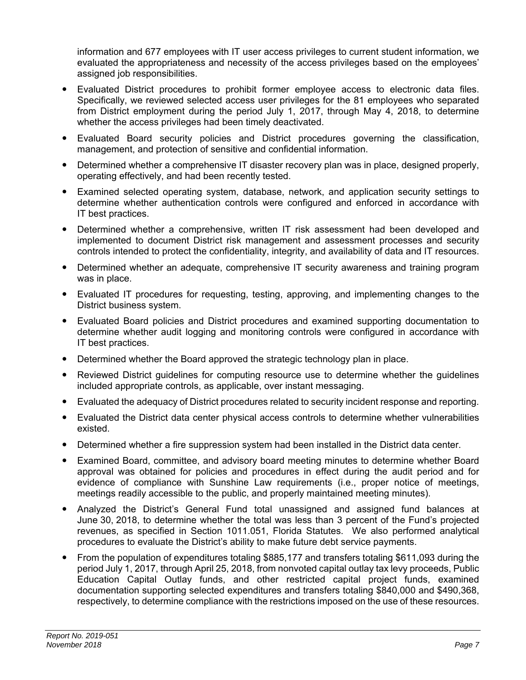information and 677 employees with IT user access privileges to current student information, we evaluated the appropriateness and necessity of the access privileges based on the employees' assigned job responsibilities.

- Evaluated District procedures to prohibit former employee access to electronic data files. Specifically, we reviewed selected access user privileges for the 81 employees who separated from District employment during the period July 1, 2017, through May 4, 2018, to determine whether the access privileges had been timely deactivated.
- Evaluated Board security policies and District procedures governing the classification, management, and protection of sensitive and confidential information.
- Determined whether a comprehensive IT disaster recovery plan was in place, designed properly, operating effectively, and had been recently tested.
- Examined selected operating system, database, network, and application security settings to determine whether authentication controls were configured and enforced in accordance with IT best practices.
- Determined whether a comprehensive, written IT risk assessment had been developed and implemented to document District risk management and assessment processes and security controls intended to protect the confidentiality, integrity, and availability of data and IT resources.
- Determined whether an adequate, comprehensive IT security awareness and training program was in place.
- Evaluated IT procedures for requesting, testing, approving, and implementing changes to the District business system.
- Evaluated Board policies and District procedures and examined supporting documentation to determine whether audit logging and monitoring controls were configured in accordance with IT best practices.
- Determined whether the Board approved the strategic technology plan in place.
- Reviewed District guidelines for computing resource use to determine whether the guidelines included appropriate controls, as applicable, over instant messaging.
- Evaluated the adequacy of District procedures related to security incident response and reporting.
- Evaluated the District data center physical access controls to determine whether vulnerabilities existed.
- Determined whether a fire suppression system had been installed in the District data center.
- Examined Board, committee, and advisory board meeting minutes to determine whether Board approval was obtained for policies and procedures in effect during the audit period and for evidence of compliance with Sunshine Law requirements (i.e., proper notice of meetings, meetings readily accessible to the public, and properly maintained meeting minutes).
- Analyzed the District's General Fund total unassigned and assigned fund balances at June 30, 2018, to determine whether the total was less than 3 percent of the Fund's projected revenues, as specified in Section 1011.051, Florida Statutes. We also performed analytical procedures to evaluate the District's ability to make future debt service payments.
- From the population of expenditures totaling \$885,177 and transfers totaling \$611,093 during the period July 1, 2017, through April 25, 2018, from nonvoted capital outlay tax levy proceeds, Public Education Capital Outlay funds, and other restricted capital project funds, examined documentation supporting selected expenditures and transfers totaling \$840,000 and \$490,368, respectively, to determine compliance with the restrictions imposed on the use of these resources.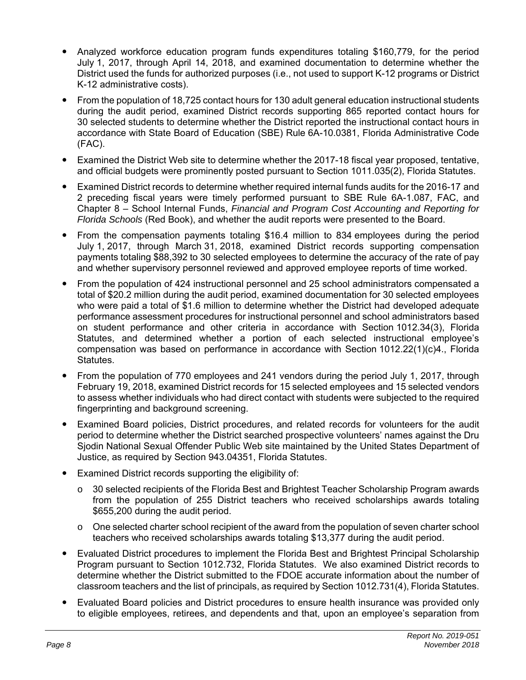- Analyzed workforce education program funds expenditures totaling \$160,779, for the period July 1, 2017, through April 14, 2018, and examined documentation to determine whether the District used the funds for authorized purposes (i.e., not used to support K-12 programs or District K-12 administrative costs).
- From the population of 18,725 contact hours for 130 adult general education instructional students during the audit period, examined District records supporting 865 reported contact hours for 30 selected students to determine whether the District reported the instructional contact hours in accordance with State Board of Education (SBE) Rule 6A-10.0381, Florida Administrative Code (FAC).
- Examined the District Web site to determine whether the 2017-18 fiscal year proposed, tentative, and official budgets were prominently posted pursuant to Section 1011.035(2), Florida Statutes.
- Examined District records to determine whether required internal funds audits for the 2016-17 and 2 preceding fiscal years were timely performed pursuant to SBE Rule 6A-1.087, FAC, and Chapter 8 – School Internal Funds, *Financial and Program Cost Accounting and Reporting for Florida Schools* (Red Book), and whether the audit reports were presented to the Board.
- From the compensation payments totaling \$16.4 million to 834 employees during the period July 1, 2017, through March 31, 2018, examined District records supporting compensation payments totaling \$88,392 to 30 selected employees to determine the accuracy of the rate of pay and whether supervisory personnel reviewed and approved employee reports of time worked.
- From the population of 424 instructional personnel and 25 school administrators compensated a total of \$20.2 million during the audit period, examined documentation for 30 selected employees who were paid a total of \$1.6 million to determine whether the District had developed adequate performance assessment procedures for instructional personnel and school administrators based on student performance and other criteria in accordance with Section 1012.34(3), Florida Statutes, and determined whether a portion of each selected instructional employee's compensation was based on performance in accordance with Section 1012.22(1)(c)4., Florida Statutes.
- From the population of 770 employees and 241 vendors during the period July 1, 2017, through February 19, 2018, examined District records for 15 selected employees and 15 selected vendors to assess whether individuals who had direct contact with students were subjected to the required fingerprinting and background screening.
- Examined Board policies, District procedures, and related records for volunteers for the audit period to determine whether the District searched prospective volunteers' names against the Dru Sjodin National Sexual Offender Public Web site maintained by the United States Department of Justice, as required by Section 943.04351, Florida Statutes.
- Examined District records supporting the eligibility of:
	- $\circ$  30 selected recipients of the Florida Best and Brightest Teacher Scholarship Program awards from the population of 255 District teachers who received scholarships awards totaling \$655,200 during the audit period.
	- $\circ$  One selected charter school recipient of the award from the population of seven charter school teachers who received scholarships awards totaling \$13,377 during the audit period.
- Evaluated District procedures to implement the Florida Best and Brightest Principal Scholarship Program pursuant to Section 1012.732, Florida Statutes. We also examined District records to determine whether the District submitted to the FDOE accurate information about the number of classroom teachers and the list of principals, as required by Section 1012.731(4), Florida Statutes.
- Evaluated Board policies and District procedures to ensure health insurance was provided only to eligible employees, retirees, and dependents and that, upon an employee's separation from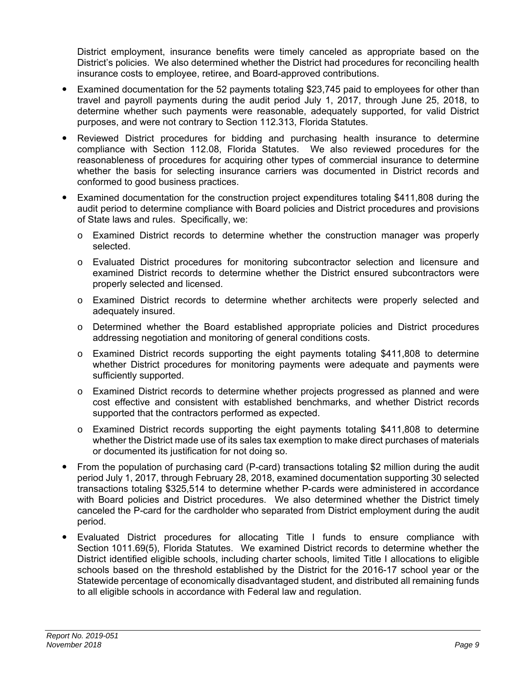District employment, insurance benefits were timely canceled as appropriate based on the District's policies. We also determined whether the District had procedures for reconciling health insurance costs to employee, retiree, and Board-approved contributions.

- Examined documentation for the 52 payments totaling \$23,745 paid to employees for other than travel and payroll payments during the audit period July 1, 2017, through June 25, 2018, to determine whether such payments were reasonable, adequately supported, for valid District purposes, and were not contrary to Section 112.313, Florida Statutes.
- Reviewed District procedures for bidding and purchasing health insurance to determine compliance with Section 112.08, Florida Statutes. We also reviewed procedures for the reasonableness of procedures for acquiring other types of commercial insurance to determine whether the basis for selecting insurance carriers was documented in District records and conformed to good business practices.
- Examined documentation for the construction project expenditures totaling \$411,808 during the audit period to determine compliance with Board policies and District procedures and provisions of State laws and rules. Specifically, we:
	- o Examined District records to determine whether the construction manager was properly selected.
	- o Evaluated District procedures for monitoring subcontractor selection and licensure and examined District records to determine whether the District ensured subcontractors were properly selected and licensed.
	- o Examined District records to determine whether architects were properly selected and adequately insured.
	- o Determined whether the Board established appropriate policies and District procedures addressing negotiation and monitoring of general conditions costs.
	- o Examined District records supporting the eight payments totaling \$411,808 to determine whether District procedures for monitoring payments were adequate and payments were sufficiently supported.
	- o Examined District records to determine whether projects progressed as planned and were cost effective and consistent with established benchmarks, and whether District records supported that the contractors performed as expected.
	- o Examined District records supporting the eight payments totaling \$411,808 to determine whether the District made use of its sales tax exemption to make direct purchases of materials or documented its justification for not doing so.
- From the population of purchasing card (P-card) transactions totaling \$2 million during the audit period July 1, 2017, through February 28, 2018, examined documentation supporting 30 selected transactions totaling \$325,514 to determine whether P-cards were administered in accordance with Board policies and District procedures. We also determined whether the District timely canceled the P-card for the cardholder who separated from District employment during the audit period.
- Evaluated District procedures for allocating Title I funds to ensure compliance with Section 1011.69(5), Florida Statutes. We examined District records to determine whether the District identified eligible schools, including charter schools, limited Title I allocations to eligible schools based on the threshold established by the District for the 2016-17 school year or the Statewide percentage of economically disadvantaged student, and distributed all remaining funds to all eligible schools in accordance with Federal law and regulation.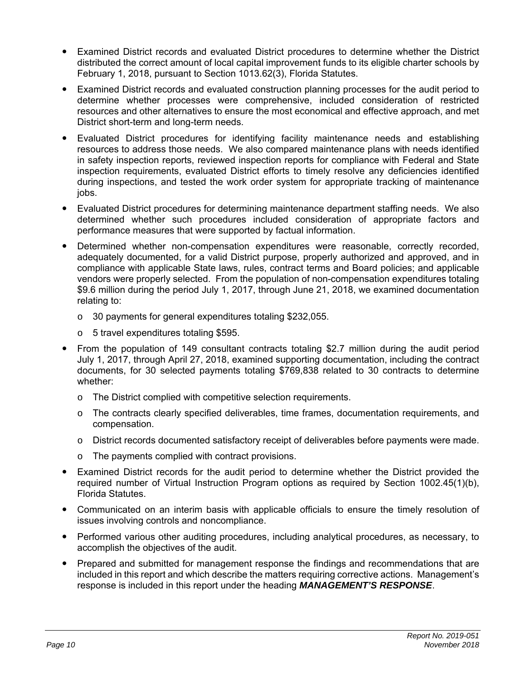- Examined District records and evaluated District procedures to determine whether the District distributed the correct amount of local capital improvement funds to its eligible charter schools by February 1, 2018, pursuant to Section 1013.62(3), Florida Statutes.
- Examined District records and evaluated construction planning processes for the audit period to determine whether processes were comprehensive, included consideration of restricted resources and other alternatives to ensure the most economical and effective approach, and met District short-term and long-term needs.
- Evaluated District procedures for identifying facility maintenance needs and establishing resources to address those needs. We also compared maintenance plans with needs identified in safety inspection reports, reviewed inspection reports for compliance with Federal and State inspection requirements, evaluated District efforts to timely resolve any deficiencies identified during inspections, and tested the work order system for appropriate tracking of maintenance jobs.
- Evaluated District procedures for determining maintenance department staffing needs. We also determined whether such procedures included consideration of appropriate factors and performance measures that were supported by factual information.
- Determined whether non-compensation expenditures were reasonable, correctly recorded, adequately documented, for a valid District purpose, properly authorized and approved, and in compliance with applicable State laws, rules, contract terms and Board policies; and applicable vendors were properly selected. From the population of non-compensation expenditures totaling \$9.6 million during the period July 1, 2017, through June 21, 2018, we examined documentation relating to:
	- o 30 payments for general expenditures totaling \$232,055.
	- o 5 travel expenditures totaling \$595.
- From the population of 149 consultant contracts totaling \$2.7 million during the audit period July 1, 2017, through April 27, 2018, examined supporting documentation, including the contract documents, for 30 selected payments totaling \$769,838 related to 30 contracts to determine whether:
	- o The District complied with competitive selection requirements.
	- o The contracts clearly specified deliverables, time frames, documentation requirements, and compensation.
	- o District records documented satisfactory receipt of deliverables before payments were made.
	- o The payments complied with contract provisions.
- Examined District records for the audit period to determine whether the District provided the required number of Virtual Instruction Program options as required by Section 1002.45(1)(b), Florida Statutes.
- Communicated on an interim basis with applicable officials to ensure the timely resolution of issues involving controls and noncompliance.
- Performed various other auditing procedures, including analytical procedures, as necessary, to accomplish the objectives of the audit.
- Prepared and submitted for management response the findings and recommendations that are included in this report and which describe the matters requiring corrective actions. Management's response is included in this report under the heading *MANAGEMENT'S RESPONSE*.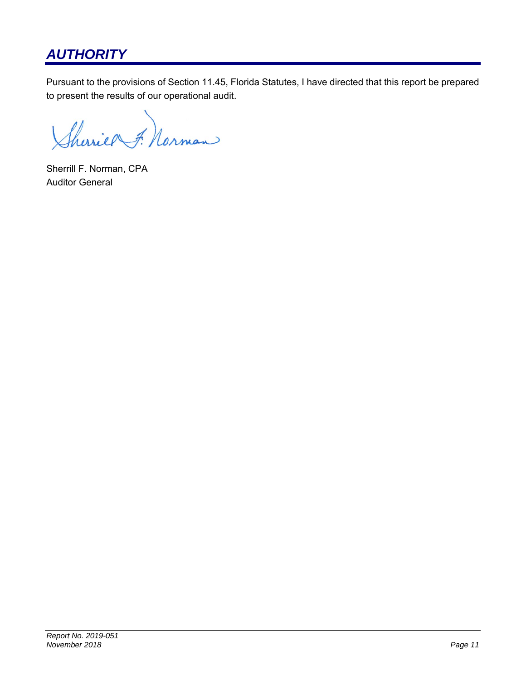# *AUTHORITY*

Pursuant to the provisions of Section 11.45, Florida Statutes, I have directed that this report be prepared to present the results of our operational audit.

Sheries F. Norman

Sherrill F. Norman, CPA Auditor General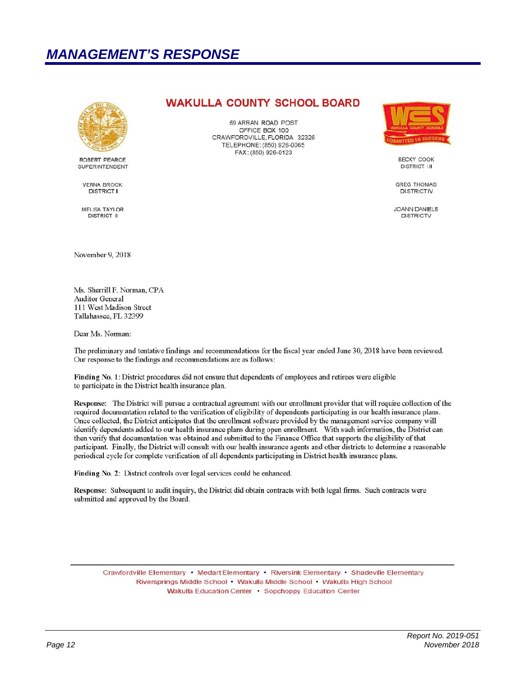# *MANAGEMENT'S RESPONSE*



ROBERT PEARCE SUPERINTENDENT

**VERNA BROCK DISTRICT I** 

**MELISA TAYLOR DISTRICT II** 

### **WAKULLA COUNTY SCHOOL BOARD**

69 ARRAN ROAD POST OFFICE BOX 100 CRAWFORDVILLE, FLORIDA 32326 TELEPHONE: (850) 926-0065 FAX: (850) 926-0123



**BECKY COOK DISTRICT III** 

**GREG THOMAS DISTRICTIV** 

JOANN DANIELS **DISTRICTV** 

November 9, 2018

Ms. Sherrill F. Norman, CPA Auditor General 111 West Madison Street Tallahassee, FL 32399

Dear Ms. Norman:

The preliminary and tentative findings and recommendations for the fiscal year ended June 30, 2018 have been reviewed. Our response to the findings and recommendations are as follows:

Finding No. 1: District procedures did not ensure that dependents of employees and retirees were eligible to participate in the District health insurance plan.

Response: The District will pursue a contractual agreement with our enrollment provider that will require collection of the required documentation related to the verification of eligibility of dependents participating in our health insurance plans. Once collected, the District anticipates that the enrollment software provided by the management service company will identify dependents added to our health insurance plans during open enrollment. With such information, the District can then verify that documentation was obtained and submitted to the Finance Office that supports the eligibility of that participant. Finally, the District will consult with our health insurance agents and other districts to determine a reasonable periodical cycle for complete verification of all dependents participating in District health insurance plans.

Finding No. 2: District controls over legal services could be enhanced.

Response: Subsequent to audit inquiry, the District did obtain contracts with both legal firms. Such contracts were submitted and approved by the Board.

Crawfordville Elementary • Medart Elementary • Riversink Elementary • Shadeville Elementary Riversprings Middle School • Wakulla Middle School • Wakulla High School Wakulla Education Center · Sopchoppy Education Center